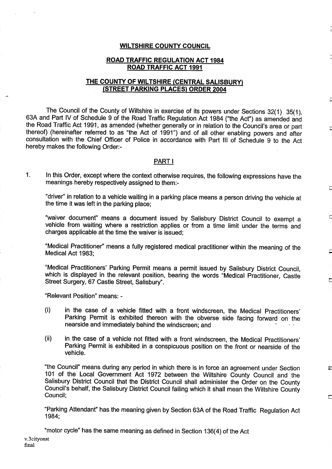### WILTSHIRE COUNTY COUNCIL

### ROAD TRAFFIC REGULATION ACT 1984 ROAD TRAFFIC ACT 1991

# THE COUNTY OF WILTSHIRE (CENTRAL SALISBURY) (STREET PARKING PLACES) ORDER 2004

The Council of the County of Wiltshire in exercise of its powers under Sections 32(1) 35(1), 63A and Part IV of Schedule <sup>9</sup> of the Road Traffic Regulation Act 1984 ("the Act") as amended and the Road Traffic Act 1991, as amended (whether generally or in relation to the Council's area or part thereof) (hereinafter referred to as "the Act of 1991") and of all other enabling powers and after consultation with the Chief Officer of Police in accordance with Part III of Schedule <sup>9</sup> to the Act hereby makes the following Order:-

### PART <sup>I</sup>

1. In this Order, except where the context otherwise requires, the following expressions have the meanings hereby respectively assigned to them:-

"driver" in relation to a vehicle waiting in a parking place means a person driving the vehicle at the time it was left in the parking place;

С

Г

F

F

 $\overline{\phantom{a}}$ 

"waiver document" means a document issued by Salisbury District Council to exempt a vehicle from waiting where a restriction applies or from a time limit under the terms and charges applicable at the time the waiver is issued;

"Medical Practitioner' means <sup>a</sup> fully registered medical practitioner within the meaning of the Medical Act 1983;

"Medical Practitioners' Parking Permit means a permit issued by Salisbury District Council, which is displayed in the relevant position, bearing the words "Medical Practitioner, Castle Street Surgery, 67 Castle Street, Salisbury" .

"Relevant Position" means: -

- $(i)$ in the case of a vehicle fitted with a front windscreen, the Medical Practitioners' Parking Permit is exhibited thereon with the obverse side facing forward on the nearside and immediately behind the windscreen; and
- (ii) in the case of a vehicle not fitted with a front windscreen, the Medical Practitioners' Parking Permit is exhibited in a conspicuous position on the front or nearside of the vehicle.

"the Council" means during any period in which there is in force an agreement under Section 101 of the Local Government Act 1972 between the Wiltshire County Council and the Salisbury District Council that the District Council shall administer the Order on the County Council's behalf, the Salisbury District Council failing which it shall mean the Wiltshire County Council:

"Parking Attendant" has the meaning given by Section 63A of the Road Traffic Regulation Act 1984;

v.3 cityonst final "motor cycle" has the same meaning as defined in Section 136(4) of the Act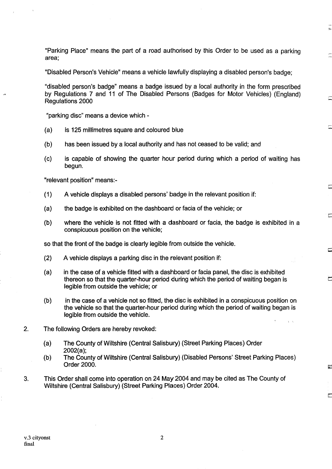"Parking Place" means the part of a road authorised by this Order to be used as a parking area;

"Disabled Person's Vehicle" means a vehicle lawfully displaying a disabled person's badge;

"disabled person's badge" means a badge issued by a local authority in the form prescribed by Regulations 7 and 11 of The Disabled Persons (Badges for Motor Vehicles) (England) Regulations 2000

"parking disc" means a device which -

- (a) is 125 millimetres square and coloured blue
- (b) has been issued by a local authority and has not ceased to be valid; and
- (c) is capable of showing the quarter hour period during which a period of waiting has begun.

"relevant position" means :-

- (1) A vehicle displays a disabled persons' badge in the relevant position if:
- (a) the badge is exhibited on the dashboard or facia of the vehicle; or
- (b) where the vehicle is not fitted with a dashboard or facia, the badge is exhibited in a conspicuous position on the vehicle;

so that the front of the badge is clearly legible from outside the vehicle.

- (2) A vehicle displays <sup>a</sup> parking disc in the relevant position if:
- (a) in the case of a vehicle fitted with a dashboard or facia panel, the disc is exhibited thereon so that the quarter-hour period during which the period of waiting began is legible from outside the vehicle; or
- (b) in the case of a vehicle not so fitted, the disc is exhibited in a conspicuous position on the vehicle so that the quarter-hour period during which the period of waiting began is legible from outside the vehicle.
- 2. The following Orders are hereby revoked:
	- (a) The County of Wiltshire (Central Salisbury) (Street Parking Places) Order 2002(a);
	- (b) The County of Wiltshire (Central Salisbury) (Disabled Persons' Street Parking Places) Order 2000.
- 3. This Order shall come into operation on 24 May2004 and may be cited as The County of Wiltshire (Central Salisbury) (Street Parking Places) Order 2004.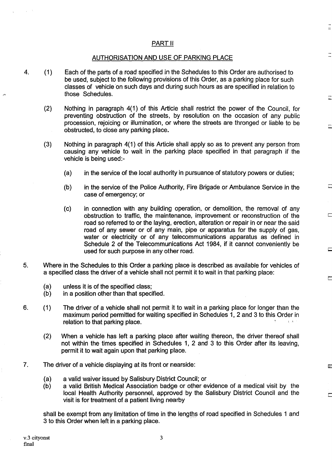# PART II

### AUTHORISATION AND USE OF PARKING PLACE

- 4 . (1) Each of the parts of a road specified in the Schedules to this Order are authorised to be used, subject to the following provisions of this Order, as a parking place for such classes of vehicle on such days and during such hours as are specified in relation to those Schedules.
	- (2) Nothing in paragraph 4(1) of this Article shall restrict the power of the Council, for preventing obstruction of the streets, by resolution on the occasion of any public procession, rejoicing or illumination, or where the streets are thronged or liable to be obstructed, to close any parking place.
	- $(3)$ Nothing in paragraph 4(1) of this Article shall apply so as to prevent any person from causing any vehicle to wait in the parking place specified in that paragraph if the vehicle is being used:-
		- (a) in the service of the local authority in pursuance of statutory powers or duties;
		- (b) in the service of the Police Authority, Fire Brigade or Ambulance Service in the case of emergency; or
		- (c) in connection with any building operation, or demolition, the removal of any obstruction to traffic, the maintenance, improvement or reconstruction of the road so referred to or the laying, erection, alteration or repair in or near the said road of any sewer or of any main, pipe or apparatus for the supply of gas, water or electricity or of any telecommunications apparatus as defined in Schedule 2 of the Telecommunications Act 1984, if it cannot conveniently be used for such purpose in any other road.
- 5. Where in the Schedules to this Order a parking place is described as available for vehicles of a specified class the driver of a vehicle shall not permit it to wait in that parking place:
	- (a) unless it is of the specified class;<br>(b) in a position other than that speci-
	- in a position other than that specified.
- 6. (1) The driver of a vehicle shall not permit it to wait in a parking place for longer than the maximum period permitted for waiting specified in Schedules 1, 2 and 3 to this Order in relation to that parking place.
	- (2) When a vehicle has left a parking place after waiting thereon, the driver thereof shall not within the times specified in Schedules 1, 2 and 3 to this Order after its leaving, permit it to wait again upon that parking place.
- 7. The driver of a vehicle displaying at its front or nearside :
	- (a) a valid waiver issued by Salisbury District Council; or
	- a valid British Medical Association badge or other evidence of a medical visit by the local Health Authority personnel, approved by the Salisbury District Council and the visit is for treatment of a patient living nearby

shall be exempt from any limitation of time in the lengths of road specified in Schedules <sup>1</sup> and 3 to this Order when left in a parking place.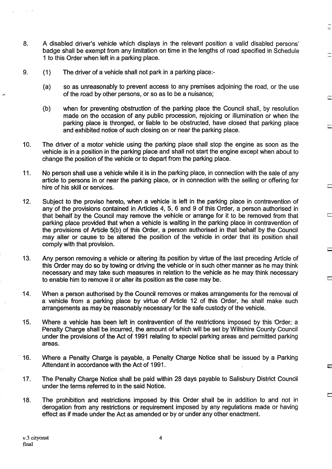- 8. A disabled driver's vehicle which displays in the relevant position <sup>a</sup> valid disabled persons' badge shall be exempt from any limitation on time in the lengths of road specified in Schedule <sup>1</sup> to this Order when left in a parking place.
- 9. (1) The driver of a vehicle shall not park in a parking place:-
	- (a) so as unreasonably to prevent access to any premises adjoining the road, or the use of the road by other persons, or so as to be a nuisance ;

 $=$ 

- (b) when for preventing obstruction of the parking place the Council shall, by resolution made on the occasion of any public procession, rejoicing or illumination or when the parking place is thronged, or liable to be obstructed, have closed that parking place and exhibited notice of such closing on or near the parking place.
- 10. The driver of a motor vehicle using the parking place shall stop the engine as soon as the vehicle is in a position in the parking place and shall not start the engine except when about to change the position of the vehicle or to depart from the parking place.
- <sup>11</sup> . No person shall use a vehicle while it is in the parking place, in connection with the sale of any article to persons in or near the parking place, or in connection with the selling or offering for hire of his skill or services.
- 12. Subject to the proviso hereto, when a vehicle is left in the parking place in contravention of any of the provisions contained in Articles 4, 5, 6 and 9 of this Order, a person authorised in that behalf by the Council may remove the vehicle or arrange for it to be removed from that parking place provided that when a vehicle is waiting in the parking place in contravention of the provisions of Article 5(b) of this Order, a person authorised in that behalf by the Council may alter or cause to be altered the position of the vehicle in order that its position shall comply with that provision.
- 13. Any person removing a vehicle or altering its position by virtue of the last preceding Article of this Order may do so by towing or driving the vehicle or in such other manner as he may think necessary and may take such measures in relation to the vehicle as he may think necessary to enable him to remove it or alter its position as the case may be .
- 14. When a person authorised by the Council removes or makes arrangements for the removal of a vehicle from a parking place by virtue of Article 12 of this Order, he shall make such arrangements as may be reasonably necessary for the safe custody of the vehicle.
- 15. Where a vehicle has been left in contravention of the restrictions imposed by this 'Order; a Penalty Charge shall be incurred, the amount of which will be set by Wiltshire County Council under the provisions of the Act of 1991 relating to special parking areas and permitted parking areas.
- 16. Where a Penalty Charge is payable, a Penalty Charge Notice shall be issued by a Parking Attendant in accordance with the Act of 1991.
- 17 . The Penalty Charge Notice shall be paid within 28 days payable to Salisbury District Council under the terms referred to in the said Notice.
- 18. The prohibition and restrictions imposed by this Order shall be in addition to and not in derogation from any restrictions or requirement imposed by any regulations made or having effect as if made under the Act as amended or by or under any other enactment.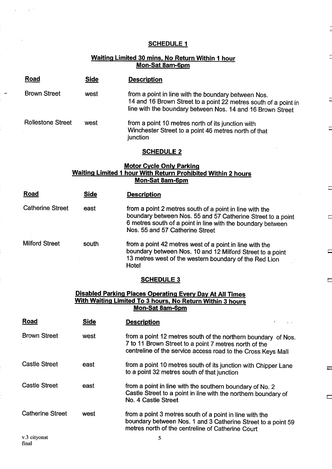# SCHEDULE 1

 $\overline{a}$ 

Ē

 $\Box$ 

 $\Box$ 

 $\Box$ 

 $\Box$ 

 $\Box$ 

 $\frac{1}{2}$ 

 $\overline{\mathcal{C}}$ 

# Waiting Limited 30 mins, No Return Within <sup>1</sup> hour <u>Mon-Sat 8am-6pm</u>

| Road                                                                                                                                                   | <b>Side</b> | <b>Description</b>                                                                                                                                                                                                       |  |  |  |  |  |
|--------------------------------------------------------------------------------------------------------------------------------------------------------|-------------|--------------------------------------------------------------------------------------------------------------------------------------------------------------------------------------------------------------------------|--|--|--|--|--|
| <b>Brown Street</b>                                                                                                                                    | west        | from a point in line with the boundary between Nos.<br>14 and 16 Brown Street to a point 22 metres south of a point in<br>line with the boundary between Nos. 14 and 16 Brown Street                                     |  |  |  |  |  |
| <b>Rollestone Street</b>                                                                                                                               | west        | from a point 10 metres north of its junction with<br>Winchester Street to a point 46 metres north of that<br>junction                                                                                                    |  |  |  |  |  |
| <b>SCHEDULE 2</b>                                                                                                                                      |             |                                                                                                                                                                                                                          |  |  |  |  |  |
| <b>Motor Cycle Only Parking</b><br><b>Waiting Limited 1 hour With Return Prohibited Within 2 hours</b><br>Mon-Sat 8am-6pm                              |             |                                                                                                                                                                                                                          |  |  |  |  |  |
| Road                                                                                                                                                   | <b>Side</b> | <b>Description</b>                                                                                                                                                                                                       |  |  |  |  |  |
| <b>Catherine Street</b>                                                                                                                                | east        | from a point 2 metres south of a point in line with the<br>boundary between Nos. 55 and 57 Catherine Street to a point<br>6 metres south of a point in line with the boundary between<br>Nos. 55 and 57 Catherine Street |  |  |  |  |  |
| <b>Milford Street</b>                                                                                                                                  | south       | from a point 42 metres west of a point in line with the<br>boundary between Nos. 10 and 12 Milford Street to a point<br>13 metres west of the western boundary of the Red Lion<br>Hotel                                  |  |  |  |  |  |
|                                                                                                                                                        |             | <b>SCHEDULE 3</b>                                                                                                                                                                                                        |  |  |  |  |  |
| <b>Disabled Parking Places Operating Every Day At All Times</b><br><u>With Waiting Limited To 3 hours, No Return Within 3 hours</u><br>Mon-Sat 8am-6pm |             |                                                                                                                                                                                                                          |  |  |  |  |  |
| <u>Road</u>                                                                                                                                            | <b>Side</b> | <b>Description</b>                                                                                                                                                                                                       |  |  |  |  |  |
| <b>Brown Street</b>                                                                                                                                    | west        | from a point 12 metres south of the northern boundary of Nos.<br>7 to 11 Brown Street to a point 7 metres north of the<br>centreline of the service access road to the Cross Keys Mall                                   |  |  |  |  |  |
| <b>Castle Street</b>                                                                                                                                   | east        | from a point 10 metres south of its junction with Chipper Lane<br>to a point 32 metres south of that junction                                                                                                            |  |  |  |  |  |
| <b>Castle Street</b>                                                                                                                                   | east        | from a point in line with the southern boundary of No. 2<br>Castle Street to a point in line with the northern boundary of<br>No. 4 Castle Street                                                                        |  |  |  |  |  |
| <b>Catherine Street</b>                                                                                                                                | west        | from a point 3 metres south of a point in line with the<br>boundary between Nos. 1 and 3 Catherine Street to a point 59<br>metres north of the centreline of Catherine Court                                             |  |  |  |  |  |

 $\sim \chi^{-1}$ 

 $\hat{L}$ 

ان